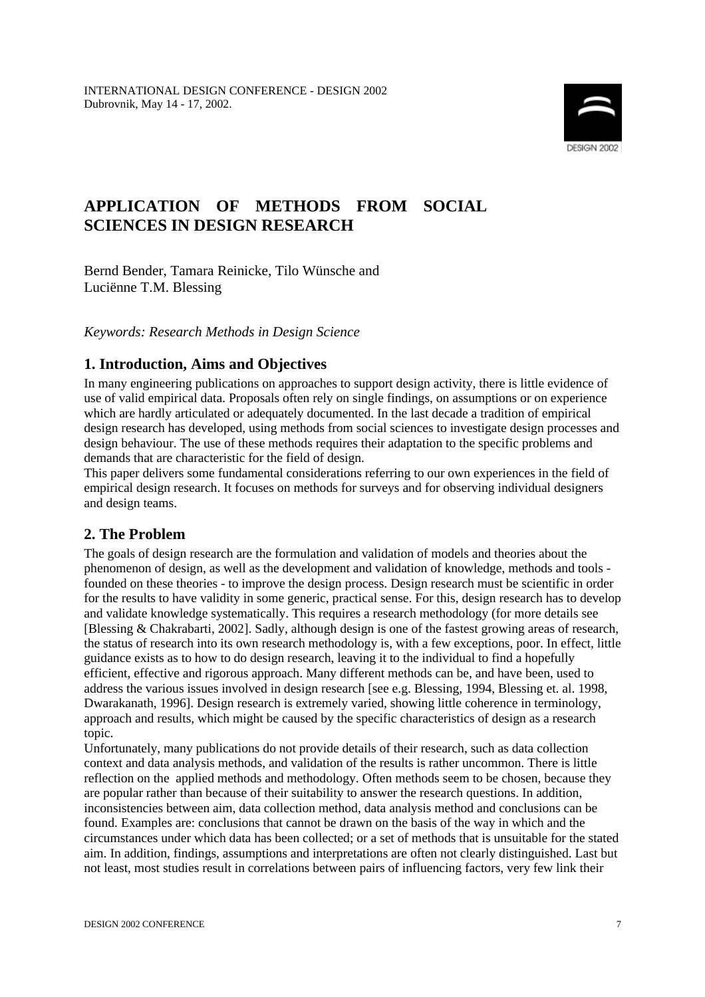

# **APPLICATION OF METHODS FROM SOCIAL SCIENCES IN DESIGN RESEARCH**

Bernd Bender, Tamara Reinicke, Tilo Wünsche and Luciënne T.M. Blessing

*Keywords: Research Methods in Design Science*

## **1. Introduction, Aims and Objectives**

In many engineering publications on approaches to support design activity, there is little evidence of use of valid empirical data. Proposals often rely on single findings, on assumptions or on experience which are hardly articulated or adequately documented. In the last decade a tradition of empirical design research has developed, using methods from social sciences to investigate design processes and design behaviour. The use of these methods requires their adaptation to the specific problems and demands that are characteristic for the field of design.

This paper delivers some fundamental considerations referring to our own experiences in the field of empirical design research. It focuses on methods for surveys and for observing individual designers and design teams.

#### **2. The Problem**

The goals of design research are the formulation and validation of models and theories about the phenomenon of design, as well as the development and validation of knowledge, methods and tools founded on these theories - to improve the design process. Design research must be scientific in order for the results to have validity in some generic, practical sense. For this, design research has to develop and validate knowledge systematically. This requires a research methodology (for more details see [Blessing & Chakrabarti, 2002]. Sadly, although design is one of the fastest growing areas of research, the status of research into its own research methodology is, with a few exceptions, poor. In effect, little guidance exists as to how to do design research, leaving it to the individual to find a hopefully efficient, effective and rigorous approach. Many different methods can be, and have been, used to address the various issues involved in design research [see e.g. Blessing, 1994, Blessing et. al. 1998, Dwarakanath, 1996]. Design research is extremely varied, showing little coherence in terminology, approach and results, which might be caused by the specific characteristics of design as a research topic.

Unfortunately, many publications do not provide details of their research, such as data collection context and data analysis methods, and validation of the results is rather uncommon. There is little reflection on the applied methods and methodology. Often methods seem to be chosen, because they are popular rather than because of their suitability to answer the research questions. In addition, inconsistencies between aim, data collection method, data analysis method and conclusions can be found. Examples are: conclusions that cannot be drawn on the basis of the way in which and the circumstances under which data has been collected; or a set of methods that is unsuitable for the stated aim. In addition, findings, assumptions and interpretations are often not clearly distinguished. Last but not least, most studies result in correlations between pairs of influencing factors, very few link their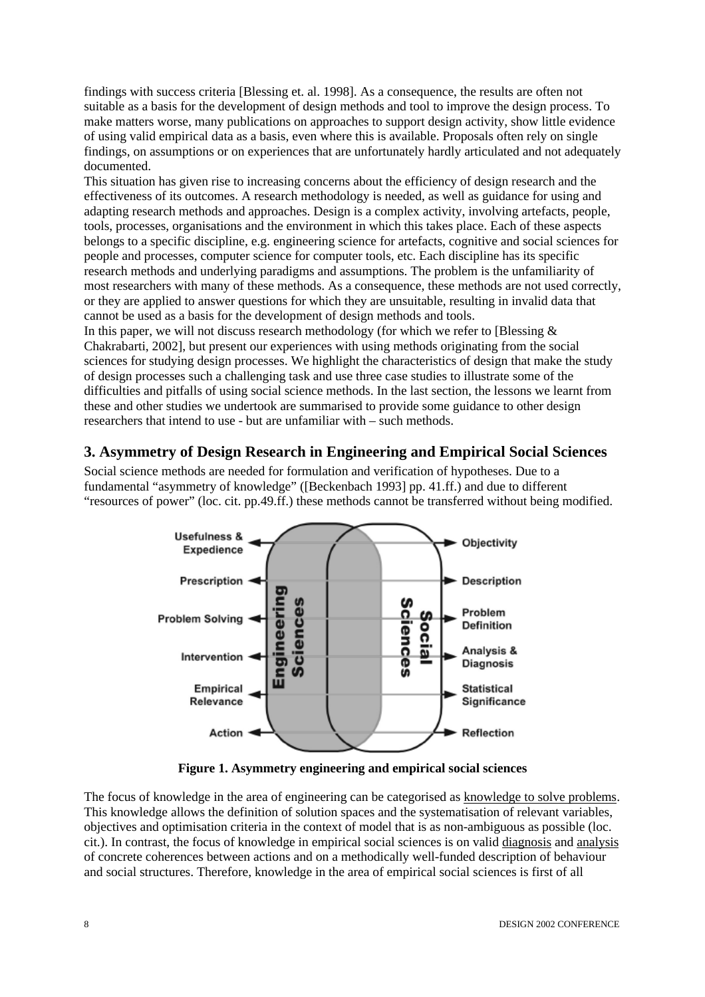findings with success criteria [Blessing et. al. 1998]. As a consequence, the results are often not suitable as a basis for the development of design methods and tool to improve the design process. To make matters worse, many publications on approaches to support design activity, show little evidence of using valid empirical data as a basis, even where this is available. Proposals often rely on single findings, on assumptions or on experiences that are unfortunately hardly articulated and not adequately documented.

This situation has given rise to increasing concerns about the efficiency of design research and the effectiveness of its outcomes. A research methodology is needed, as well as guidance for using and adapting research methods and approaches. Design is a complex activity, involving artefacts, people, tools, processes, organisations and the environment in which this takes place. Each of these aspects belongs to a specific discipline, e.g. engineering science for artefacts, cognitive and social sciences for people and processes, computer science for computer tools, etc. Each discipline has its specific research methods and underlying paradigms and assumptions. The problem is the unfamiliarity of most researchers with many of these methods. As a consequence, these methods are not used correctly, or they are applied to answer questions for which they are unsuitable, resulting in invalid data that cannot be used as a basis for the development of design methods and tools.

In this paper, we will not discuss research methodology (for which we refer to [Blessing  $\&$ Chakrabarti, 2002], but present our experiences with using methods originating from the social sciences for studying design processes. We highlight the characteristics of design that make the study of design processes such a challenging task and use three case studies to illustrate some of the difficulties and pitfalls of using social science methods. In the last section, the lessons we learnt from these and other studies we undertook are summarised to provide some guidance to other design researchers that intend to use - but are unfamiliar with – such methods.

### **3. Asymmetry of Design Research in Engineering and Empirical Social Sciences**

Social science methods are needed for formulation and verification of hypotheses. Due to a fundamental "asymmetry of knowledge" ([Beckenbach 1993] pp. 41.ff.) and due to different "resources of power" (loc. cit. pp.49.ff.) these methods cannot be transferred without being modified.



**Figure 1. Asymmetry engineering and empirical social sciences**

The focus of knowledge in the area of engineering can be categorised as knowledge to solve problems. This knowledge allows the definition of solution spaces and the systematisation of relevant variables, objectives and optimisation criteria in the context of model that is as non-ambiguous as possible (loc. cit.). In contrast, the focus of knowledge in empirical social sciences is on valid diagnosis and analysis of concrete coherences between actions and on a methodically well-funded description of behaviour and social structures. Therefore, knowledge in the area of empirical social sciences is first of all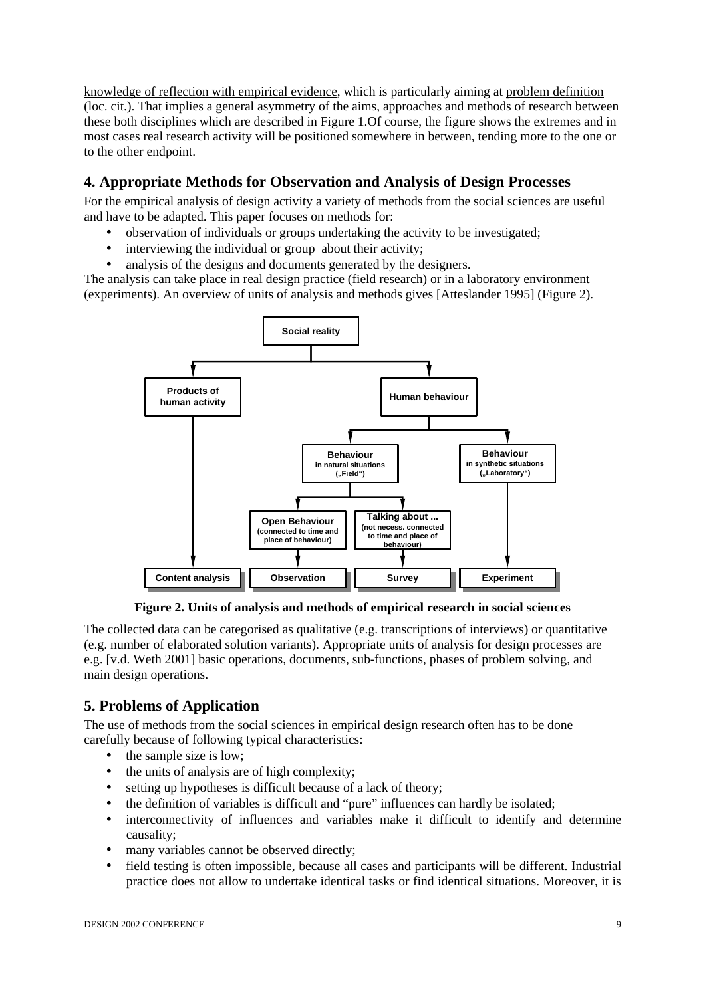knowledge of reflection with empirical evidence, which is particularly aiming at problem definition (loc. cit.). That implies a general asymmetry of the aims, approaches and methods of research between these both disciplines which are described in Figure 1.Of course, the figure shows the extremes and in most cases real research activity will be positioned somewhere in between, tending more to the one or to the other endpoint.

## **4. Appropriate Methods for Observation and Analysis of Design Processes**

For the empirical analysis of design activity a variety of methods from the social sciences are useful and have to be adapted. This paper focuses on methods for:

- observation of individuals or groups undertaking the activity to be investigated;
- interviewing the individual or group about their activity;
- analysis of the designs and documents generated by the designers.

The analysis can take place in real design practice (field research) or in a laboratory environment (experiments). An overview of units of analysis and methods gives [Atteslander 1995] (Figure 2).



**Figure 2. Units of analysis and methods of empirical research in social sciences**

The collected data can be categorised as qualitative (e.g. transcriptions of interviews) or quantitative (e.g. number of elaborated solution variants). Appropriate units of analysis for design processes are e.g. [v.d. Weth 2001] basic operations, documents, sub-functions, phases of problem solving, and main design operations.

## **5. Problems of Application**

The use of methods from the social sciences in empirical design research often has to be done carefully because of following typical characteristics:

- the sample size is low;
- the units of analysis are of high complexity;
- setting up hypotheses is difficult because of a lack of theory;
- the definition of variables is difficult and "pure" influences can hardly be isolated;
- interconnectivity of influences and variables make it difficult to identify and determine causality;
- many variables cannot be observed directly;
- field testing is often impossible, because all cases and participants will be different. Industrial practice does not allow to undertake identical tasks or find identical situations. Moreover, it is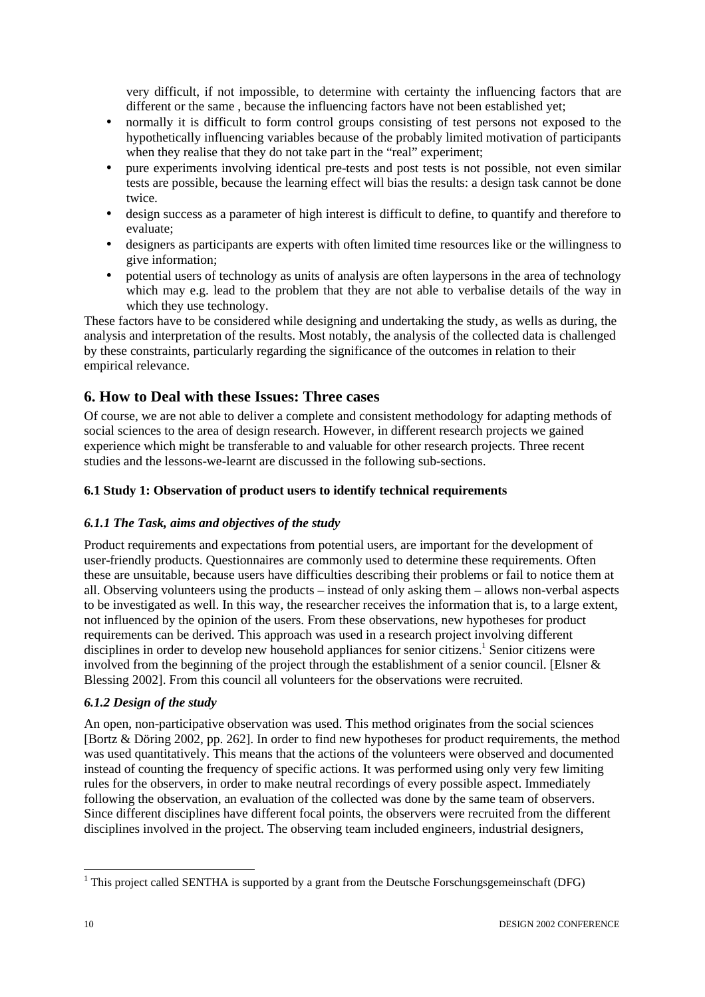very difficult, if not impossible, to determine with certainty the influencing factors that are different or the same , because the influencing factors have not been established yet;

- normally it is difficult to form control groups consisting of test persons not exposed to the hypothetically influencing variables because of the probably limited motivation of participants when they realise that they do not take part in the "real" experiment:
- pure experiments involving identical pre-tests and post tests is not possible, not even similar tests are possible, because the learning effect will bias the results: a design task cannot be done twice.
- design success as a parameter of high interest is difficult to define, to quantify and therefore to evaluate;
- designers as participants are experts with often limited time resources like or the willingness to give information;
- potential users of technology as units of analysis are often laypersons in the area of technology which may e.g. lead to the problem that they are not able to verbalise details of the way in which they use technology.

These factors have to be considered while designing and undertaking the study, as wells as during, the analysis and interpretation of the results. Most notably, the analysis of the collected data is challenged by these constraints, particularly regarding the significance of the outcomes in relation to their empirical relevance.

## **6. How to Deal with these Issues: Three cases**

Of course, we are not able to deliver a complete and consistent methodology for adapting methods of social sciences to the area of design research. However, in different research projects we gained experience which might be transferable to and valuable for other research projects. Three recent studies and the lessons-we-learnt are discussed in the following sub-sections.

#### **6.1 Study 1: Observation of product users to identify technical requirements**

#### *6.1.1 The Task, aims and objectives of the study*

Product requirements and expectations from potential users, are important for the development of user-friendly products. Questionnaires are commonly used to determine these requirements. Often these are unsuitable, because users have difficulties describing their problems or fail to notice them at all. Observing volunteers using the products – instead of only asking them – allows non-verbal aspects to be investigated as well. In this way, the researcher receives the information that is, to a large extent, not influenced by the opinion of the users. From these observations, new hypotheses for product requirements can be derived. This approach was used in a research project involving different disciplines in order to develop new household appliances for senior citizens.<sup>1</sup> Senior citizens were involved from the beginning of the project through the establishment of a senior council. [Elsner  $\&$ Blessing 2002]. From this council all volunteers for the observations were recruited.

#### *6.1.2 Design of the study*

An open, non-participative observation was used. This method originates from the social sciences [Bortz & Döring 2002, pp. 262]. In order to find new hypotheses for product requirements, the method was used quantitatively. This means that the actions of the volunteers were observed and documented instead of counting the frequency of specific actions. It was performed using only very few limiting rules for the observers, in order to make neutral recordings of every possible aspect. Immediately following the observation, an evaluation of the collected was done by the same team of observers. Since different disciplines have different focal points, the observers were recruited from the different disciplines involved in the project. The observing team included engineers, industrial designers,

<sup>&</sup>lt;sup>1</sup> This project called SENTHA is supported by a grant from the Deutsche Forschungsgemeinschaft (DFG)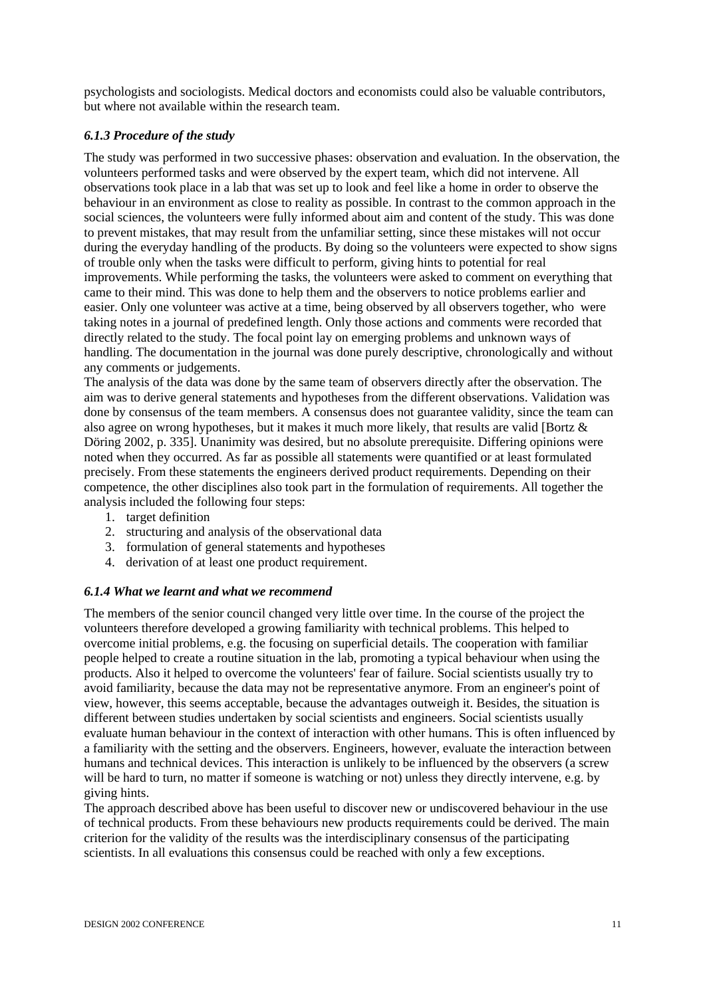psychologists and sociologists. Medical doctors and economists could also be valuable contributors, but where not available within the research team.

#### *6.1.3 Procedure of the study*

The study was performed in two successive phases: observation and evaluation. In the observation, the volunteers performed tasks and were observed by the expert team, which did not intervene. All observations took place in a lab that was set up to look and feel like a home in order to observe the behaviour in an environment as close to reality as possible. In contrast to the common approach in the social sciences, the volunteers were fully informed about aim and content of the study. This was done to prevent mistakes, that may result from the unfamiliar setting, since these mistakes will not occur during the everyday handling of the products. By doing so the volunteers were expected to show signs of trouble only when the tasks were difficult to perform, giving hints to potential for real improvements. While performing the tasks, the volunteers were asked to comment on everything that came to their mind. This was done to help them and the observers to notice problems earlier and easier. Only one volunteer was active at a time, being observed by all observers together, who were taking notes in a journal of predefined length. Only those actions and comments were recorded that directly related to the study. The focal point lay on emerging problems and unknown ways of handling. The documentation in the journal was done purely descriptive, chronologically and without any comments or judgements.

The analysis of the data was done by the same team of observers directly after the observation. The aim was to derive general statements and hypotheses from the different observations. Validation was done by consensus of the team members. A consensus does not guarantee validity, since the team can also agree on wrong hypotheses, but it makes it much more likely, that results are valid [Bortz & Döring 2002, p. 335]. Unanimity was desired, but no absolute prerequisite. Differing opinions were noted when they occurred. As far as possible all statements were quantified or at least formulated precisely. From these statements the engineers derived product requirements. Depending on their competence, the other disciplines also took part in the formulation of requirements. All together the analysis included the following four steps:

- 1. target definition
- 2. structuring and analysis of the observational data
- 3. formulation of general statements and hypotheses
- 4. derivation of at least one product requirement.

#### *6.1.4 What we learnt and what we recommend*

The members of the senior council changed very little over time. In the course of the project the volunteers therefore developed a growing familiarity with technical problems. This helped to overcome initial problems, e.g. the focusing on superficial details. The cooperation with familiar people helped to create a routine situation in the lab, promoting a typical behaviour when using the products. Also it helped to overcome the volunteers' fear of failure. Social scientists usually try to avoid familiarity, because the data may not be representative anymore. From an engineer's point of view, however, this seems acceptable, because the advantages outweigh it. Besides, the situation is different between studies undertaken by social scientists and engineers. Social scientists usually evaluate human behaviour in the context of interaction with other humans. This is often influenced by a familiarity with the setting and the observers. Engineers, however, evaluate the interaction between humans and technical devices. This interaction is unlikely to be influenced by the observers (a screw will be hard to turn, no matter if someone is watching or not) unless they directly intervene, e.g. by giving hints.

The approach described above has been useful to discover new or undiscovered behaviour in the use of technical products. From these behaviours new products requirements could be derived. The main criterion for the validity of the results was the interdisciplinary consensus of the participating scientists. In all evaluations this consensus could be reached with only a few exceptions.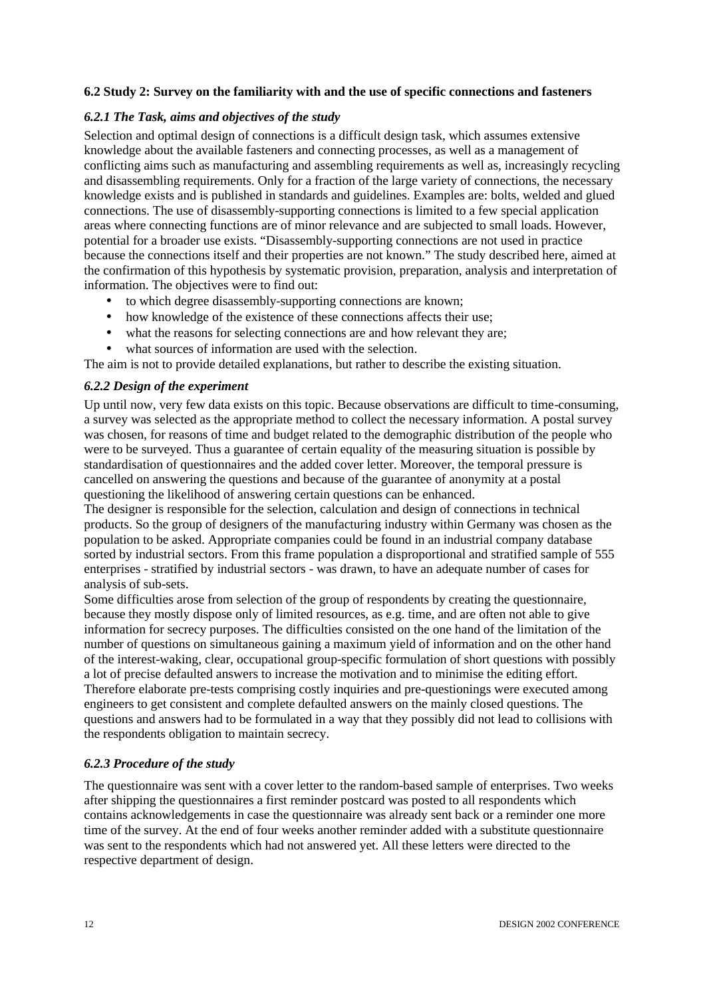#### **6.2 Study 2: Survey on the familiarity with and the use of specific connections and fasteners**

#### *6.2.1 The Task, aims and objectives of the study*

Selection and optimal design of connections is a difficult design task, which assumes extensive knowledge about the available fasteners and connecting processes, as well as a management of conflicting aims such as manufacturing and assembling requirements as well as, increasingly recycling and disassembling requirements. Only for a fraction of the large variety of connections, the necessary knowledge exists and is published in standards and guidelines. Examples are: bolts, welded and glued connections. The use of disassembly-supporting connections is limited to a few special application areas where connecting functions are of minor relevance and are subjected to small loads. However, potential for a broader use exists. "Disassembly-supporting connections are not used in practice because the connections itself and their properties are not known." The study described here, aimed at the confirmation of this hypothesis by systematic provision, preparation, analysis and interpretation of information. The objectives were to find out:

- to which degree disassembly-supporting connections are known;
- how knowledge of the existence of these connections affects their use;
- what the reasons for selecting connections are and how relevant they are:
- what sources of information are used with the selection.

The aim is not to provide detailed explanations, but rather to describe the existing situation.

#### *6.2.2 Design of the experiment*

Up until now, very few data exists on this topic. Because observations are difficult to time-consuming, a survey was selected as the appropriate method to collect the necessary information. A postal survey was chosen, for reasons of time and budget related to the demographic distribution of the people who were to be surveyed. Thus a guarantee of certain equality of the measuring situation is possible by standardisation of questionnaires and the added cover letter. Moreover, the temporal pressure is cancelled on answering the questions and because of the guarantee of anonymity at a postal questioning the likelihood of answering certain questions can be enhanced.

The designer is responsible for the selection, calculation and design of connections in technical products. So the group of designers of the manufacturing industry within Germany was chosen as the population to be asked. Appropriate companies could be found in an industrial company database sorted by industrial sectors. From this frame population a disproportional and stratified sample of 555 enterprises - stratified by industrial sectors - was drawn, to have an adequate number of cases for analysis of sub-sets.

Some difficulties arose from selection of the group of respondents by creating the questionnaire, because they mostly dispose only of limited resources, as e.g. time, and are often not able to give information for secrecy purposes. The difficulties consisted on the one hand of the limitation of the number of questions on simultaneous gaining a maximum yield of information and on the other hand of the interest-waking, clear, occupational group-specific formulation of short questions with possibly a lot of precise defaulted answers to increase the motivation and to minimise the editing effort. Therefore elaborate pre-tests comprising costly inquiries and pre-questionings were executed among engineers to get consistent and complete defaulted answers on the mainly closed questions. The questions and answers had to be formulated in a way that they possibly did not lead to collisions with the respondents obligation to maintain secrecy.

#### *6.2.3 Procedure of the study*

The questionnaire was sent with a cover letter to the random-based sample of enterprises. Two weeks after shipping the questionnaires a first reminder postcard was posted to all respondents which contains acknowledgements in case the questionnaire was already sent back or a reminder one more time of the survey. At the end of four weeks another reminder added with a substitute questionnaire was sent to the respondents which had not answered yet. All these letters were directed to the respective department of design.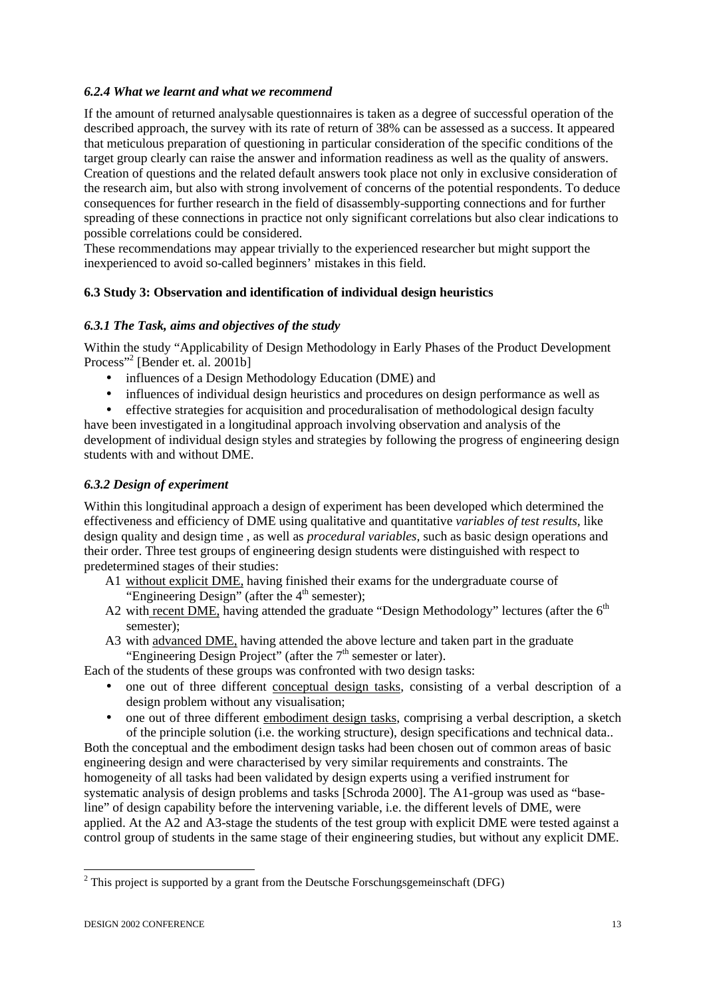#### *6.2.4 What we learnt and what we recommend*

If the amount of returned analysable questionnaires is taken as a degree of successful operation of the described approach, the survey with its rate of return of 38% can be assessed as a success. It appeared that meticulous preparation of questioning in particular consideration of the specific conditions of the target group clearly can raise the answer and information readiness as well as the quality of answers. Creation of questions and the related default answers took place not only in exclusive consideration of the research aim, but also with strong involvement of concerns of the potential respondents. To deduce consequences for further research in the field of disassembly-supporting connections and for further spreading of these connections in practice not only significant correlations but also clear indications to possible correlations could be considered.

These recommendations may appear trivially to the experienced researcher but might support the inexperienced to avoid so-called beginners' mistakes in this field.

#### **6.3 Study 3: Observation and identification of individual design heuristics**

#### *6.3.1 The Task, aims and objectives of the study*

Within the study "Applicability of Design Methodology in Early Phases of the Product Development Process"<sup>2</sup> [Bender et. al. 2001b]

- influences of a Design Methodology Education (DME) and
- influences of individual design heuristics and procedures on design performance as well as
- effective strategies for acquisition and proceduralisation of methodological design faculty

have been investigated in a longitudinal approach involving observation and analysis of the development of individual design styles and strategies by following the progress of engineering design students with and without DME.

#### *6.3.2 Design of experiment*

Within this longitudinal approach a design of experiment has been developed which determined the effectiveness and efficiency of DME using qualitative and quantitative *variables of test results,* like design quality and design time , as well as *procedural variables,* such as basic design operations and their order. Three test groups of engineering design students were distinguished with respect to predetermined stages of their studies:

- A1 without explicit DME, having finished their exams for the undergraduate course of "Engineering Design" (after the  $4<sup>th</sup>$  semester);
- A2 with recent DME, having attended the graduate "Design Methodology" lectures (after the  $6<sup>th</sup>$ semester);
- A3 with advanced DME, having attended the above lecture and taken part in the graduate "Engineering Design Project" (after the  $7<sup>th</sup>$  semester or later).

Each of the students of these groups was confronted with two design tasks:

- one out of three different conceptual design tasks, consisting of a verbal description of a design problem without any visualisation;
- one out of three different embodiment design tasks, comprising a verbal description, a sketch of the principle solution (i.e. the working structure), design specifications and technical data..

Both the conceptual and the embodiment design tasks had been chosen out of common areas of basic engineering design and were characterised by very similar requirements and constraints. The homogeneity of all tasks had been validated by design experts using a verified instrument for systematic analysis of design problems and tasks [Schroda 2000]. The A1-group was used as "baseline" of design capability before the intervening variable, i.e. the different levels of DME, were applied. At the A2 and A3-stage the students of the test group with explicit DME were tested against a control group of students in the same stage of their engineering studies, but without any explicit DME.

<sup>&</sup>lt;sup>2</sup> This project is supported by a grant from the Deutsche Forschungsgemeinschaft (DFG)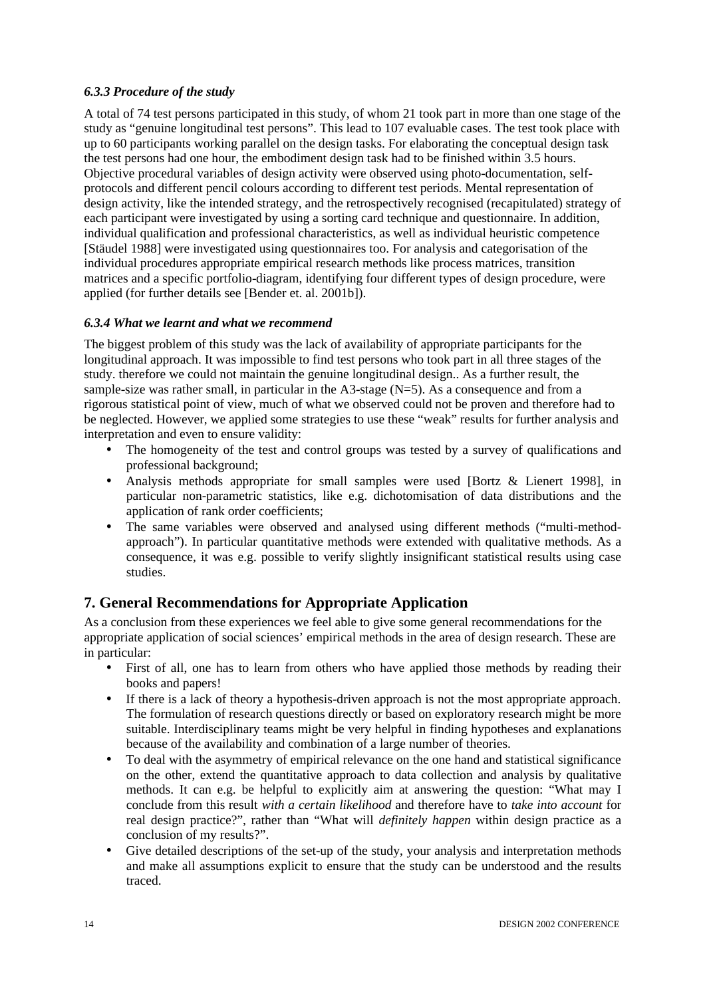#### *6.3.3 Procedure of the study*

A total of 74 test persons participated in this study, of whom 21 took part in more than one stage of the study as "genuine longitudinal test persons". This lead to 107 evaluable cases. The test took place with up to 60 participants working parallel on the design tasks. For elaborating the conceptual design task the test persons had one hour, the embodiment design task had to be finished within 3.5 hours. Objective procedural variables of design activity were observed using photo-documentation, selfprotocols and different pencil colours according to different test periods. Mental representation of design activity, like the intended strategy, and the retrospectively recognised (recapitulated) strategy of each participant were investigated by using a sorting card technique and questionnaire. In addition, individual qualification and professional characteristics, as well as individual heuristic competence [Stäudel 1988] were investigated using questionnaires too. For analysis and categorisation of the individual procedures appropriate empirical research methods like process matrices, transition matrices and a specific portfolio-diagram, identifying four different types of design procedure, were applied (for further details see [Bender et. al. 2001b]).

#### *6.3.4 What we learnt and what we recommend*

The biggest problem of this study was the lack of availability of appropriate participants for the longitudinal approach. It was impossible to find test persons who took part in all three stages of the study. therefore we could not maintain the genuine longitudinal design.. As a further result, the sample-size was rather small, in particular in the  $A3$ -stage ( $N=5$ ). As a consequence and from a rigorous statistical point of view, much of what we observed could not be proven and therefore had to be neglected. However, we applied some strategies to use these "weak" results for further analysis and interpretation and even to ensure validity:

- The homogeneity of the test and control groups was tested by a survey of qualifications and professional background;
- Analysis methods appropriate for small samples were used [Bortz & Lienert 1998], in particular non-parametric statistics, like e.g. dichotomisation of data distributions and the application of rank order coefficients;
- The same variables were observed and analysed using different methods ("multi-methodapproach"). In particular quantitative methods were extended with qualitative methods. As a consequence, it was e.g. possible to verify slightly insignificant statistical results using case studies.

## **7. General Recommendations for Appropriate Application**

As a conclusion from these experiences we feel able to give some general recommendations for the appropriate application of social sciences' empirical methods in the area of design research. These are in particular:

- First of all, one has to learn from others who have applied those methods by reading their books and papers!
- If there is a lack of theory a hypothesis-driven approach is not the most appropriate approach. The formulation of research questions directly or based on exploratory research might be more suitable. Interdisciplinary teams might be very helpful in finding hypotheses and explanations because of the availability and combination of a large number of theories.
- To deal with the asymmetry of empirical relevance on the one hand and statistical significance on the other, extend the quantitative approach to data collection and analysis by qualitative methods. It can e.g. be helpful to explicitly aim at answering the question: "What may I conclude from this result *with a certain likelihood* and therefore have to *take into account* for real design practice?", rather than "What will *definitely happen* within design practice as a conclusion of my results?".
- Give detailed descriptions of the set-up of the study, your analysis and interpretation methods and make all assumptions explicit to ensure that the study can be understood and the results traced.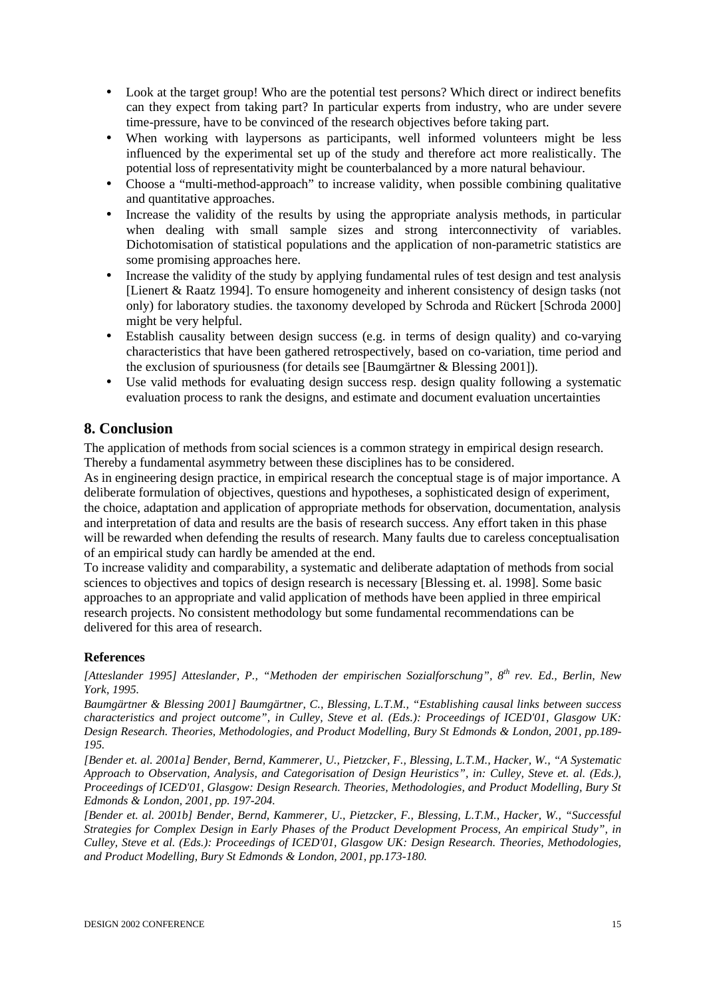- Look at the target group! Who are the potential test persons? Which direct or indirect benefits can they expect from taking part? In particular experts from industry, who are under severe time-pressure, have to be convinced of the research objectives before taking part.
- When working with laypersons as participants, well informed volunteers might be less influenced by the experimental set up of the study and therefore act more realistically. The potential loss of representativity might be counterbalanced by a more natural behaviour.
- Choose a "multi-method-approach" to increase validity, when possible combining qualitative and quantitative approaches.
- Increase the validity of the results by using the appropriate analysis methods, in particular when dealing with small sample sizes and strong interconnectivity of variables. Dichotomisation of statistical populations and the application of non-parametric statistics are some promising approaches here.
- Increase the validity of the study by applying fundamental rules of test design and test analysis [Lienert & Raatz 1994]. To ensure homogeneity and inherent consistency of design tasks (not only) for laboratory studies. the taxonomy developed by Schroda and Rückert [Schroda 2000] might be very helpful.
- Establish causality between design success (e.g. in terms of design quality) and co-varying characteristics that have been gathered retrospectively, based on co-variation, time period and the exclusion of spuriousness (for details see [Baumgärtner & Blessing 2001]).
- Use valid methods for evaluating design success resp. design quality following a systematic evaluation process to rank the designs, and estimate and document evaluation uncertainties

## **8. Conclusion**

The application of methods from social sciences is a common strategy in empirical design research. Thereby a fundamental asymmetry between these disciplines has to be considered.

As in engineering design practice, in empirical research the conceptual stage is of major importance. A deliberate formulation of objectives, questions and hypotheses, a sophisticated design of experiment, the choice, adaptation and application of appropriate methods for observation, documentation, analysis and interpretation of data and results are the basis of research success. Any effort taken in this phase will be rewarded when defending the results of research. Many faults due to careless conceptualisation of an empirical study can hardly be amended at the end.

To increase validity and comparability, a systematic and deliberate adaptation of methods from social sciences to objectives and topics of design research is necessary [Blessing et. al. 1998]. Some basic approaches to an appropriate and valid application of methods have been applied in three empirical research projects. No consistent methodology but some fundamental recommendations can be delivered for this area of research.

#### **References**

*[Atteslander 1995] Atteslander, P., "Methoden der empirischen Sozialforschung", 8 th rev. Ed., Berlin, New York, 1995.*

*Baumgärtner & Blessing 2001] Baumgärtner, C., Blessing, L.T.M., "Establishing causal links between success characteristics and project outcome", in Culley, Steve et al. (Eds.): Proceedings of ICED'01, Glasgow UK: Design Research. Theories, Methodologies, and Product Modelling, Bury St Edmonds & London, 2001, pp.189- 195.*

*[Bender et. al. 2001a] Bender, Bernd, Kammerer, U., Pietzcker, F., Blessing, L.T.M., Hacker, W., "A Systematic Approach to Observation, Analysis, and Categorisation of Design Heuristics", in: Culley, Steve et. al. (Eds.), Proceedings of ICED'01, Glasgow: Design Research. Theories, Methodologies, and Product Modelling, Bury St Edmonds & London, 2001, pp. 197-204.*

*[Bender et. al. 2001b] Bender, Bernd, Kammerer, U., Pietzcker, F., Blessing, L.T.M., Hacker, W., "Successful Strategies for Complex Design in Early Phases of the Product Development Process, An empirical Study", in Culley, Steve et al. (Eds.): Proceedings of ICED'01, Glasgow UK: Design Research. Theories, Methodologies, and Product Modelling, Bury St Edmonds & London, 2001, pp.173-180.*